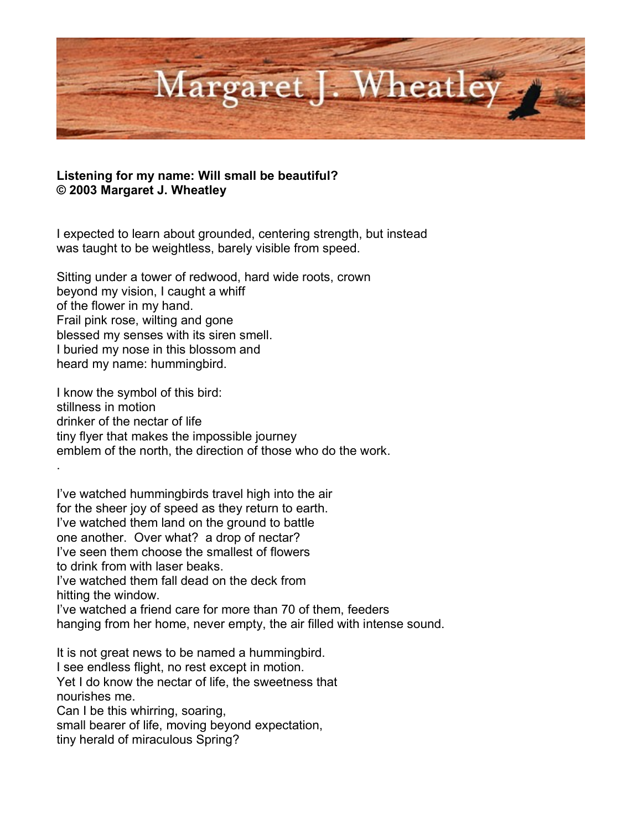

## **Listening for my name: Will small be beautiful? © 2003 Margaret J. Wheatley**

I expected to learn about grounded, centering strength, but instead was taught to be weightless, barely visible from speed.

Sitting under a tower of redwood, hard wide roots, crown beyond my vision, I caught a whiff of the flower in my hand. Frail pink rose, wilting and gone blessed my senses with its siren smell. I buried my nose in this blossom and heard my name: hummingbird.

I know the symbol of this bird: stillness in motion drinker of the nectar of life tiny flyer that makes the impossible journey emblem of the north, the direction of those who do the work.

I've watched hummingbirds travel high into the air for the sheer joy of speed as they return to earth. I've watched them land on the ground to battle one another. Over what? a drop of nectar? I've seen them choose the smallest of flowers to drink from with laser beaks. I've watched them fall dead on the deck from hitting the window. I've watched a friend care for more than 70 of them, feeders hanging from her home, never empty, the air filled with intense sound. It is not great news to be named a hummingbird. I see endless flight, no rest except in motion. Yet I do know the nectar of life, the sweetness that nourishes me. Can I be this whirring, soaring, small bearer of life, moving beyond expectation,

tiny herald of miraculous Spring?

.